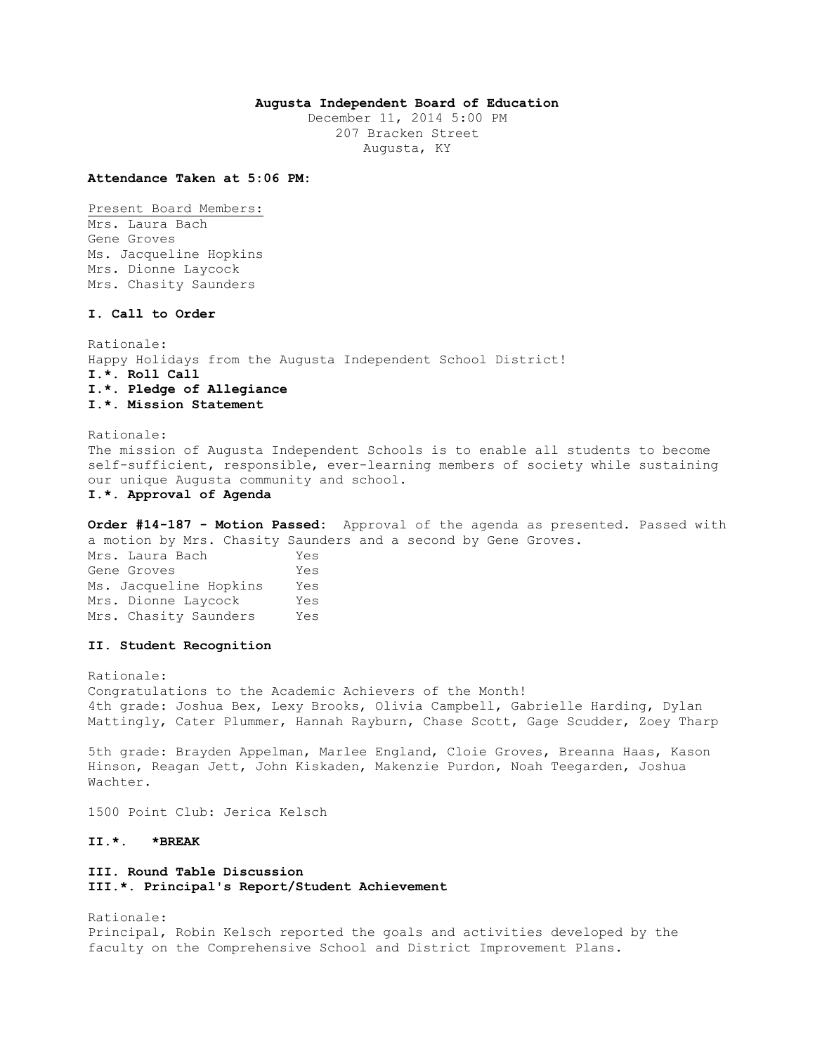## **Augusta Independent Board of Education**

December 11, 2014 5:00 PM 207 Bracken Street Augusta, KY

**Attendance Taken at 5:06 PM:**

Present Board Members: Mrs. Laura Bach Gene Groves Ms. Jacqueline Hopkins Mrs. Dionne Laycock Mrs. Chasity Saunders

## **I. Call to Order**

Rationale: Happy Holidays from the Augusta Independent School District! **I.\*. Roll Call I.\*. Pledge of Allegiance I.\*. Mission Statement** 

Rationale: The mission of Augusta Independent Schools is to enable all students to become self-sufficient, responsible, ever-learning members of society while sustaining our unique Augusta community and school. **I.\*. Approval of Agenda** 

**Order #14-187 - Motion Passed:** Approval of the agenda as presented. Passed with a motion by Mrs. Chasity Saunders and a second by Gene Groves. Mrs. Laura Bach Yes Gene Groves Tes Ms. Jacqueline Hopkins Yes Mrs. Dionne Laycock Yes

Mrs. Chasity Saunders Yes

### **II. Student Recognition**

Rationale: Congratulations to the Academic Achievers of the Month! 4th grade: Joshua Bex, Lexy Brooks, Olivia Campbell, Gabrielle Harding, Dylan Mattingly, Cater Plummer, Hannah Rayburn, Chase Scott, Gage Scudder, Zoey Tharp

5th grade: Brayden Appelman, Marlee England, Cloie Groves, Breanna Haas, Kason Hinson, Reagan Jett, John Kiskaden, Makenzie Purdon, Noah Teegarden, Joshua Wachter.

1500 Point Club: Jerica Kelsch

**II.\*. \*BREAK** 

# **III. Round Table Discussion III.\*. Principal's Report/Student Achievement**

Rationale: Principal, Robin Kelsch reported the goals and activities developed by the faculty on the Comprehensive School and District Improvement Plans.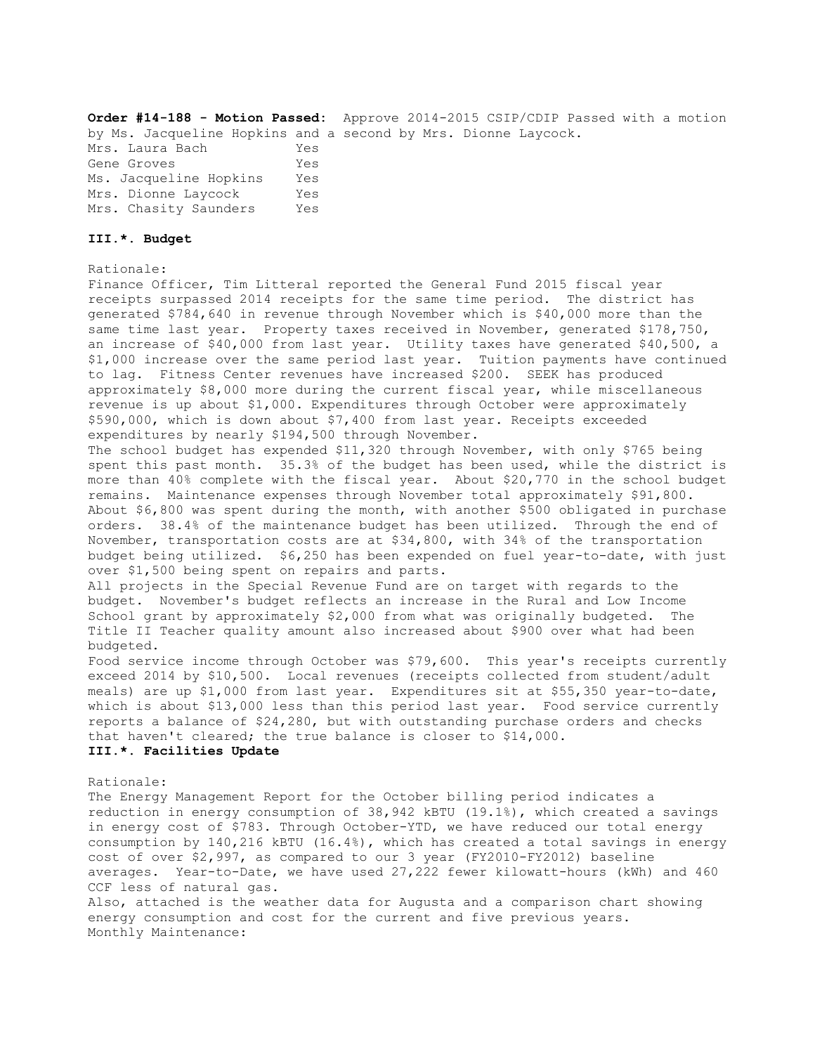### Monthly Maintenance:

CCF less of natural gas. Also, attached is the weather data for Augusta and a comparison chart showing energy consumption and cost for the current and five previous years.

Rationale: The Energy Management Report for the October billing period indicates a reduction in energy consumption of 38,942 kBTU (19.1%), which created a savings in energy cost of \$783. Through October-YTD, we have reduced our total energy consumption by 140,216 kBTU (16.4%), which has created a total savings in energy cost of over \$2,997, as compared to our 3 year (FY2010-FY2012) baseline averages. Year-to-Date, we have used 27,222 fewer kilowatt-hours (kWh) and 460

meals) are up \$1,000 from last year. Expenditures sit at \$55,350 year-to-date, which is about \$13,000 less than this period last year. Food service currently reports a balance of \$24,280, but with outstanding purchase orders and checks

## **III.\*. Facilities Update**

# budget. November's budget reflects an increase in the Rural and Low Income School grant by approximately \$2,000 from what was originally budgeted. The Title II Teacher quality amount also increased about \$900 over what had been budgeted. Food service income through October was \$79,600. This year's receipts currently exceed 2014 by \$10,500. Local revenues (receipts collected from student/adult

that haven't cleared; the true balance is closer to \$14,000.

expenditures by nearly \$194,500 through November. The school budget has expended \$11,320 through November, with only \$765 being spent this past month. 35.3% of the budget has been used, while the district is more than 40% complete with the fiscal year. About \$20,770 in the school budget remains. Maintenance expenses through November total approximately \$91,800. About \$6,800 was spent during the month, with another \$500 obligated in purchase orders. 38.4% of the maintenance budget has been utilized. Through the end of November, transportation costs are at \$34,800, with 34% of the transportation budget being utilized. \$6,250 has been expended on fuel year-to-date, with just over \$1,500 being spent on repairs and parts. All projects in the Special Revenue Fund are on target with regards to the

receipts surpassed 2014 receipts for the same time period. The district has generated \$784,640 in revenue through November which is \$40,000 more than the same time last year. Property taxes received in November, generated \$178,750, an increase of \$40,000 from last year. Utility taxes have generated \$40,500, a \$1,000 increase over the same period last year. Tuition payments have continued to lag. Fitness Center revenues have increased \$200. SEEK has produced approximately \$8,000 more during the current fiscal year, while miscellaneous revenue is up about \$1,000. Expenditures through October were approximately \$590,000, which is down about \$7,400 from last year. Receipts exceeded

Finance Officer, Tim Litteral reported the General Fund 2015 fiscal year

# Mrs. Dionne Laycock Yes Mrs. Chasity Saunders Yes

# **III.\*. Budget**

Rationale:

**Order #14-188 - Motion Passed:** Approve 2014-2015 CSIP/CDIP Passed with a motion by Ms. Jacqueline Hopkins and a second by Mrs. Dionne Laycock. Mrs. Laura Bach Yes Gene Groves Tes Ms. Jacqueline Hopkins Yes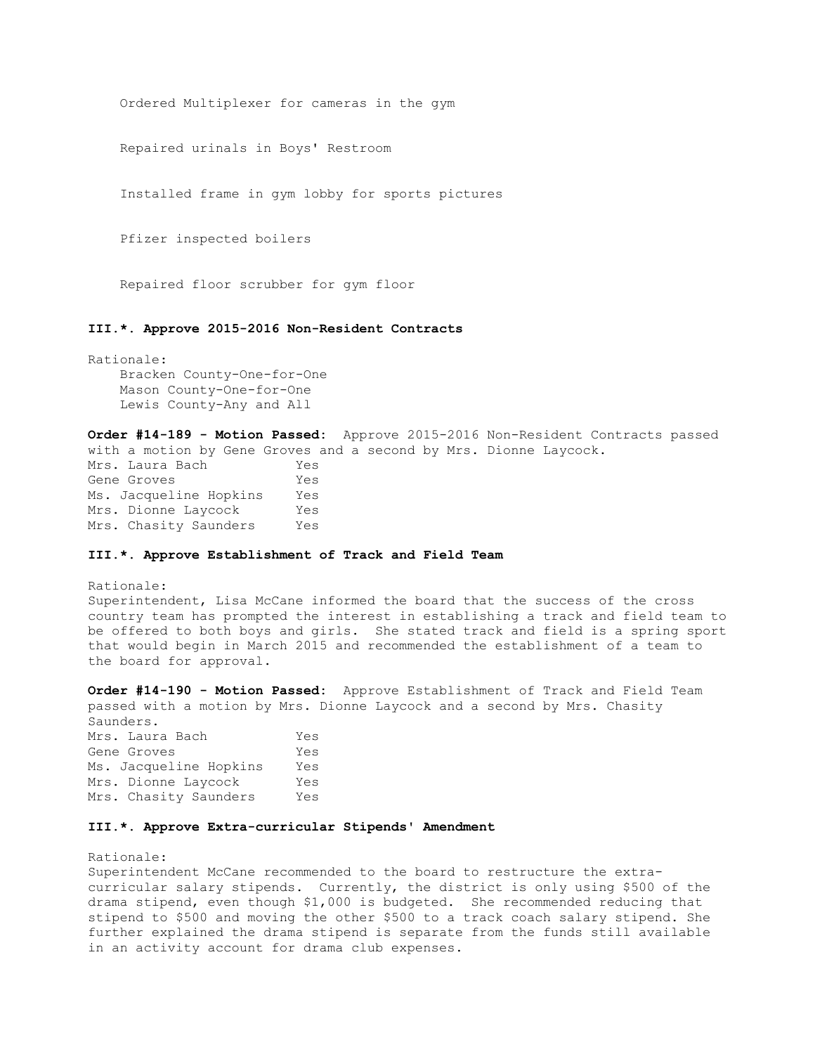Ordered Multiplexer for cameras in the gym

Repaired urinals in Boys' Restroom

Installed frame in gym lobby for sports pictures

Pfizer inspected boilers

Repaired floor scrubber for gym floor

### **III.\*. Approve 2015-2016 Non-Resident Contracts**

Rationale: Bracken County-One-for-One Mason County-One-for-One Lewis County-Any and All

**Order #14-189 - Motion Passed:** Approve 2015-2016 Non-Resident Contracts passed with a motion by Gene Groves and a second by Mrs. Dionne Laycock. Mrs. Laura Bach Yes Gene Groves Yes Ms. Jacqueline Hopkins Yes Mrs. Dionne Laycock Yes Mrs. Chasity Saunders Yes

### **III.\*. Approve Establishment of Track and Field Team**

### Rationale:

Superintendent, Lisa McCane informed the board that the success of the cross country team has prompted the interest in establishing a track and field team to be offered to both boys and girls. She stated track and field is a spring sport that would begin in March 2015 and recommended the establishment of a team to the board for approval.

**Order #14-190 - Motion Passed:** Approve Establishment of Track and Field Team passed with a motion by Mrs. Dionne Laycock and a second by Mrs. Chasity Saunders.

Mrs. Laura Bach Yes Gene Groves Yes Ms. Jacqueline Hopkins Yes Mrs. Dionne Laycock Yes Mrs. Chasity Saunders Yes

### **III.\*. Approve Extra-curricular Stipends' Amendment**

Rationale:

Superintendent McCane recommended to the board to restructure the extracurricular salary stipends. Currently, the district is only using \$500 of the drama stipend, even though \$1,000 is budgeted. She recommended reducing that stipend to \$500 and moving the other \$500 to a track coach salary stipend. She further explained the drama stipend is separate from the funds still available in an activity account for drama club expenses.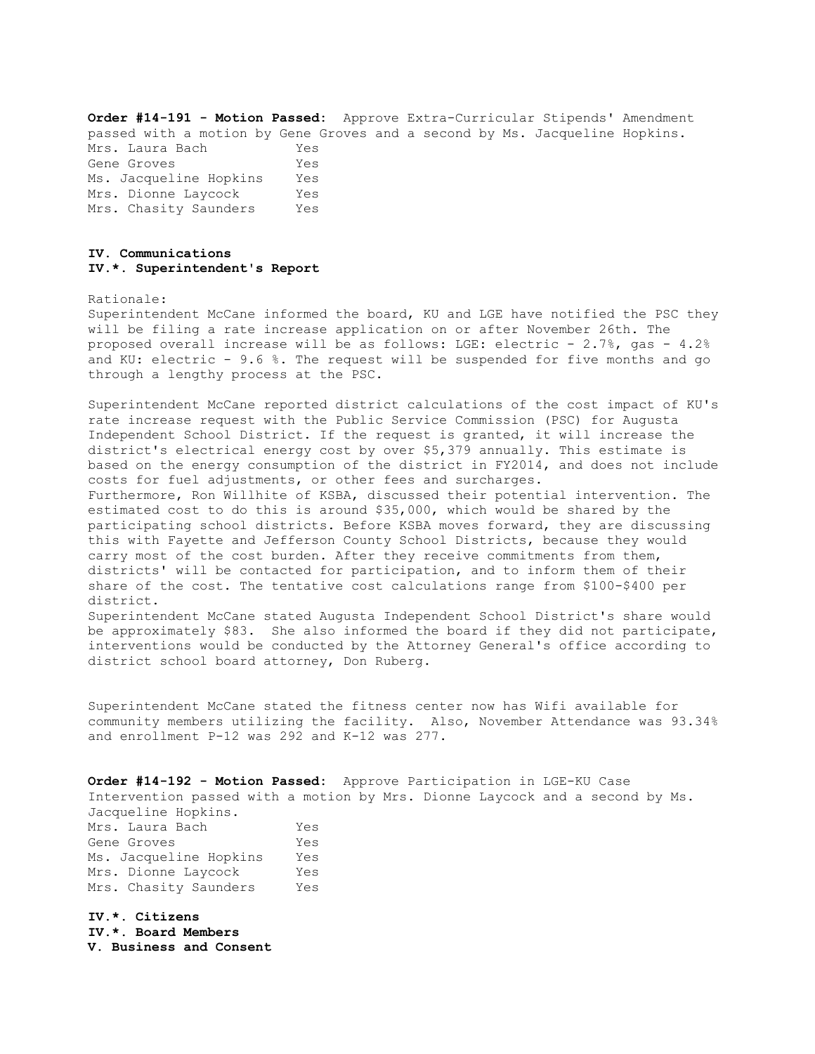**Order #14-191 - Motion Passed:** Approve Extra-Curricular Stipends' Amendment passed with a motion by Gene Groves and a second by Ms. Jacqueline Hopkins. Mrs. Laura Bach Yes Gene Groves Tes Ms. Jacqueline Hopkins Yes Mrs. Dionne Laycock Yes Mrs. Chasity Saunders Yes

### **IV. Communications IV.\*. Superintendent's Report**

Rationale:

Superintendent McCane informed the board, KU and LGE have notified the PSC they will be filing a rate increase application on or after November 26th. The proposed overall increase will be as follows: LGE: electric - 2.7%, gas - 4.2% and KU: electric - 9.6 %. The request will be suspended for five months and go through a lengthy process at the PSC.

Superintendent McCane reported district calculations of the cost impact of KU's rate increase request with the Public Service Commission (PSC) for Augusta Independent School District. If the request is granted, it will increase the district's electrical energy cost by over \$5,379 annually. This estimate is based on the energy consumption of the district in FY2014, and does not include costs for fuel adjustments, or other fees and surcharges. Furthermore, Ron Willhite of KSBA, discussed their potential intervention. The estimated cost to do this is around \$35,000, which would be shared by the participating school districts. Before KSBA moves forward, they are discussing this with Fayette and Jefferson County School Districts, because they would carry most of the cost burden. After they receive commitments from them, districts' will be contacted for participation, and to inform them of their share of the cost. The tentative cost calculations range from \$100-\$400 per district. Superintendent McCane stated Augusta Independent School District's share would

be approximately \$83. She also informed the board if they did not participate, interventions would be conducted by the Attorney General's office according to district school board attorney, Don Ruberg.

Superintendent McCane stated the fitness center now has Wifi available for community members utilizing the facility. Also, November Attendance was 93.34% and enrollment P-12 was 292 and K-12 was 277.

**Order #14-192 - Motion Passed:** Approve Participation in LGE-KU Case Intervention passed with a motion by Mrs. Dionne Laycock and a second by Ms. Jacqueline Hopkins. Mrs. Laura Bach Yes Gene Groves Yes Ms. Jacqueline Hopkins Yes Mrs. Dionne Laycock Yes Mrs. Chasity Saunders Yes

**IV.\*. Citizens IV.\*. Board Members V. Business and Consent**